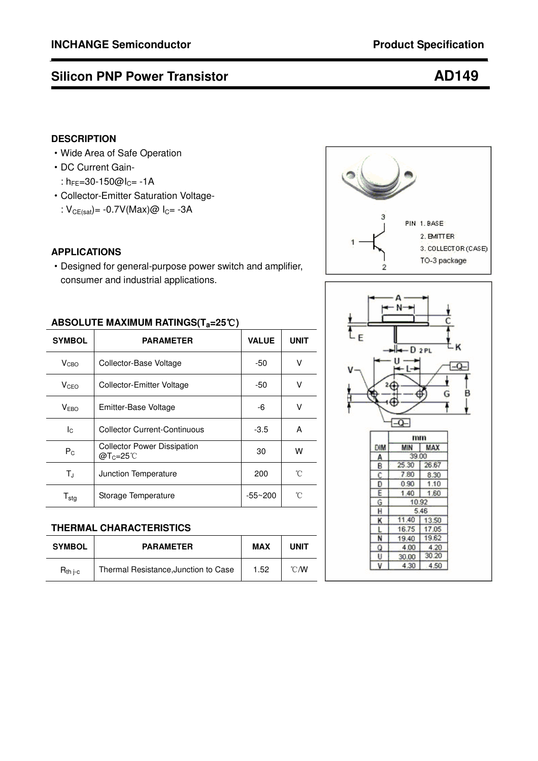# **Silicon PNP Power Transistor <b>AD149**

# **DESCRIPTION**

- ·Wide Area of Safe Operation
- ·DC Current Gain-
	- :  $h_{FE} = 30 150$ @l<sub>C</sub>= -1A
- ·Collector-Emitter Saturation Voltage- :  $V_{CE(sat)} = -0.7V(Max)@I<sub>C</sub> = -3A$

### **APPLICATIONS**

·Designed for general-purpose power switch and amplifier, consumer and industrial applications.

### **ABSOLUTE MAXIMUM RATINGS(Ta=25**℃**)**

| <b>SYMBOL</b>                | <b>PARAMETER</b>                                        | <b>VALUE</b> | <b>UNIT</b> |  |  |
|------------------------------|---------------------------------------------------------|--------------|-------------|--|--|
| V <sub>CBO</sub>             | Collector-Base Voltage                                  | -50          | ν           |  |  |
| V <sub>CEO</sub>             | Collector-Emitter Voltage                               | -50          | ٧           |  |  |
| V <sub>EBO</sub>             | Emitter-Base Voltage                                    | -6           | V           |  |  |
| Iс                           | Collector Current-Continuous                            | $-3.5$       | A           |  |  |
| $P_{C}$                      | <b>Collector Power Dissipation</b><br>$@T_c=25^{\circ}$ | 30           | W           |  |  |
| $T_{J}$                      | 200<br>Junction Temperature                             |              | °C          |  |  |
| ${\mathsf T}_{\textsf{stg}}$ | Storage Temperature<br>$-55 - 200$                      |              | 'n          |  |  |

### **THERMAL CHARACTERISTICS**

| <b>SYMBOL</b> | <b>PARAMETER</b>                     | <b>MAX</b> | <b>UNIT</b>    |
|---------------|--------------------------------------|------------|----------------|
| $R_{th\,$ i-c | Thermal Resistance, Junction to Case | 1.52       | $^{\circ}$ CMV |